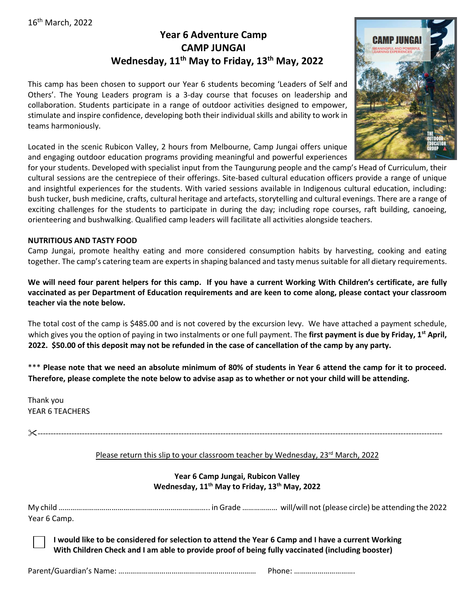### 16th March, 2022

## **Year 6 Adventure Camp CAMP JUNGAI Wednesday, 11th May to Friday, 13th May, 2022**

This camp has been chosen to support our Year 6 students becoming 'Leaders of Self and Others'. The Young Leaders program is a 3-day course that focuses on leadership and collaboration. Students participate in a range of outdoor activities designed to empower, stimulate and inspire confidence, developing both their individual skills and ability to work in teams harmoniously.

Located in the scenic Rubicon Valley, 2 hours from Melbourne, Camp Jungai offers unique and engaging outdoor education programs providing meaningful and powerful experiences

for your students. Developed with specialist input from the Taungurung people and the camp's Head of Curriculum, their cultural sessions are the centrepiece of their offerings. Site-based cultural education officers provide a range of unique and insightful experiences for the students. With varied sessions available in Indigenous cultural education, including: bush tucker, bush medicine, crafts, cultural heritage and artefacts, storytelling and cultural evenings. There are a range of exciting challenges for the students to participate in during the day; including rope courses, raft building, canoeing, orienteering and bushwalking. Qualified camp leaders will facilitate all activities alongside teachers.

#### **NUTRITIOUS AND TASTY FOOD**

Camp Jungai, promote healthy eating and more considered consumption habits by harvesting, cooking and eating together. The camp's catering team are experts in shaping balanced and tasty menus suitable for all dietary requirements.

**We will need four parent helpers for this camp. If you have a current Working With Children's certificate, are fully vaccinated as per Department of Education requirements and are keen to come along, please contact your classroom teacher via the note below.**

The total cost of the camp is \$485.00 and is not covered by the excursion levy. We have attached a payment schedule, which gives you the option of paying in two instalments or one full payment. The **first payment is due by Friday, 1st April, 2022. \$50.00 of this deposit may not be refunded in the case of cancellation of the camp by any party.** 

\*\*\* **Please note that we need an absolute minimum of 80% of students in Year 6 attend the camp for it to proceed. Therefore, please complete the note below to advise asap as to whether or not your child will be attending.**

Thank you YEAR 6 TEACHERS

-----------------------------------------------------------------------------------------------------------------------------------------------------------

#### Please return this slip to your classroom teacher by Wednesday, 23<sup>rd</sup> March, 2022

#### **Year 6 Camp Jungai, Rubicon Valley Wednesday, 11th May to Friday, 13th May, 2022**

My child ………………………………………………………………….. in Grade ……………… will/will not (please circle) be attending the 2022 Year 6 Camp.

**I would like to be considered for selection to attend the Year 6 Camp and I have a current Working With Children Check and I am able to provide proof of being fully vaccinated (including booster)**

Parent/Guardian's Name: ………………………………………………….………… Phone: ………………………….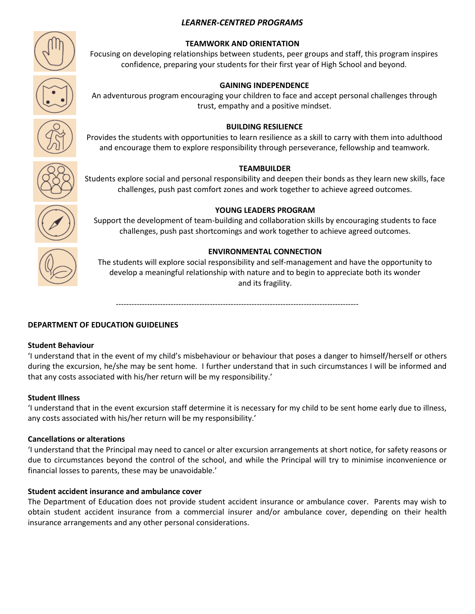#### *LEARNER-CENTRED PROGRAMS*









# Students explore social and personal responsibility and deepen their bonds as they learn new skills, face



#### Support the development of team-building and collaboration skills by encouraging students to face challenges, push past shortcomings and work together to achieve agreed outcomes.

#### **ENVIRONMENTAL CONNECTION**

The students will explore social responsibility and self-management and have the opportunity to develop a meaningful relationship with nature and to begin to appreciate both its wonder and its fragility.

---------------------------------------------------------------------------------------------

#### **DEPARTMENT OF EDUCATION GUIDELINES**

#### **Student Behaviour**

'I understand that in the event of my child's misbehaviour or behaviour that poses a danger to himself/herself or others during the excursion, he/she may be sent home. I further understand that in such circumstances I will be informed and that any costs associated with his/her return will be my responsibility.'

#### **Student Illness**

'I understand that in the event excursion staff determine it is necessary for my child to be sent home early due to illness, any costs associated with his/her return will be my responsibility.'

#### **Cancellations or alterations**

'I understand that the Principal may need to cancel or alter excursion arrangements at short notice, for safety reasons or due to circumstances beyond the control of the school, and while the Principal will try to minimise inconvenience or financial losses to parents, these may be unavoidable.'

#### **Student accident insurance and ambulance cover**

The Department of Education does not provide student accident insurance or ambulance cover. Parents may wish to obtain student accident insurance from a commercial insurer and/or ambulance cover, depending on their health insurance arrangements and any other personal considerations.

#### **TEAMWORK AND ORIENTATION**

Focusing on developing relationships between students, peer groups and staff, this program inspires confidence, preparing your students for their first year of High School and beyond.

#### **GAINING INDEPENDENCE**

An adventurous program encouraging your children to face and accept personal challenges through trust, empathy and a positive mindset.

#### **BUILDING RESILIENCE** Provides the students with opportunities to learn resilience as a skill to carry with them into adulthood

and encourage them to explore responsibility through perseverance, fellowship and teamwork.

**TEAMBUILDER**

challenges, push past comfort zones and work together to achieve agreed outcomes.

**YOUNG LEADERS PROGRAM**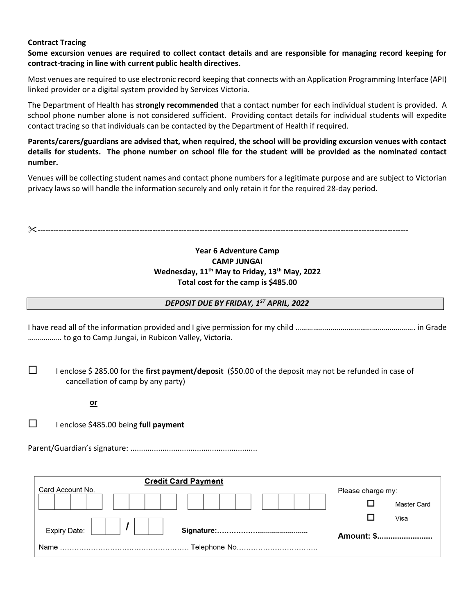#### **Contract Tracing**

**Some excursion venues are required to collect contact details and are responsible for managing record keeping for contract-tracing in line with current public health directives.**

Most venues are required to use electronic record keeping that connects with an Application Programming Interface (API) linked provider or a digital system provided by Services Victoria.

The Department of Health has **strongly recommended** that a contact number for each individual student is provided. A school phone number alone is not considered sufficient. Providing contact details for individual students will expedite contact tracing so that individuals can be contacted by the Department of Health if required.

**Parents/carers/guardians are advised that, when required, the school will be providing excursion venues with contact details for students. The phone number on school file for the student will be provided as the nominated contact number.**

Venues will be collecting student names and contact phone numbers for a legitimate purpose and are subject to Victorian privacy laws so will handle the information securely and only retain it for the required 28-day period.

----------------------------------------------------------------------------------------------------------------------------------------------

#### **Year 6 Adventure Camp CAMP JUNGAI Wednesday, 11th May to Friday, 13th May, 2022 Total cost for the camp is \$485.00**

#### *DEPOSIT DUE BY FRIDAY, 1ST APRIL, 2022*

I have read all of the information provided and I give permission for my child ……………………………………………………. in Grade …………….. to go to Camp Jungai, in Rubicon Valley, Victoria.

 I enclose \$ 285.00 for the **first payment/deposit** (\$50.00 of the deposit may not be refunded in case of cancellation of camp by any party)

#### *<u>or</u>*

I enclose \$485.00 being **full payment**

Parent/Guardian's signature: ...........................................................

| <b>Credit Card Payment</b> |                    |  |
|----------------------------|--------------------|--|
| Card Account No.           | Please charge my:  |  |
|                            | <b>Master Card</b> |  |
|                            | Visa               |  |
| Expiry Date:               | Amount: \$         |  |
|                            |                    |  |